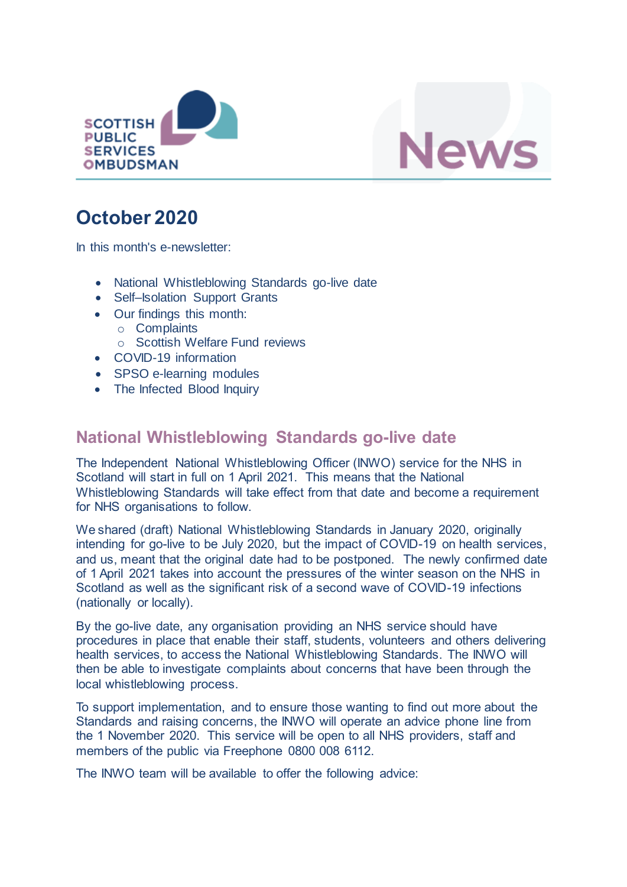



# **October 2020**

In this month's e-newsletter:

- National Whistleblowing Standards go-live date
- Self-Isolation Support Grants
- Our findings this month:
	- o Complaints
	- o Scottish Welfare Fund reviews
- COVID-19 information
- SPSO e-learning modules
- The Infected Blood Inquiry

# **National Whistleblowing Standards go-live date**

The Independent National Whistleblowing Officer (INWO) service for the NHS in Scotland will start in full on 1 April 2021. This means that the National Whistleblowing Standards will take effect from that date and become a requirement for NHS organisations to follow.

We shared (draft) National Whistleblowing Standards in January 2020, originally intending for go-live to be July 2020, but the impact of COVID-19 on health services, and us, meant that the original date had to be postponed. The newly confirmed date of 1 April 2021 takes into account the pressures of the winter season on the NHS in Scotland as well as the significant risk of a second wave of COVID-19 infections (nationally or locally).

By the go-live date, any organisation providing an NHS service should have procedures in place that enable their staff, students, volunteers and others delivering health services, to access the National Whistleblowing Standards. The INWO will then be able to investigate complaints about concerns that have been through the local whistleblowing process.

To support implementation, and to ensure those wanting to find out more about the Standards and raising concerns, the INWO will operate an advice phone line from the 1 November 2020. This service will be open to all NHS providers, staff and members of the public via Freephone 0800 008 6112.

The INWO team will be available to offer the following advice: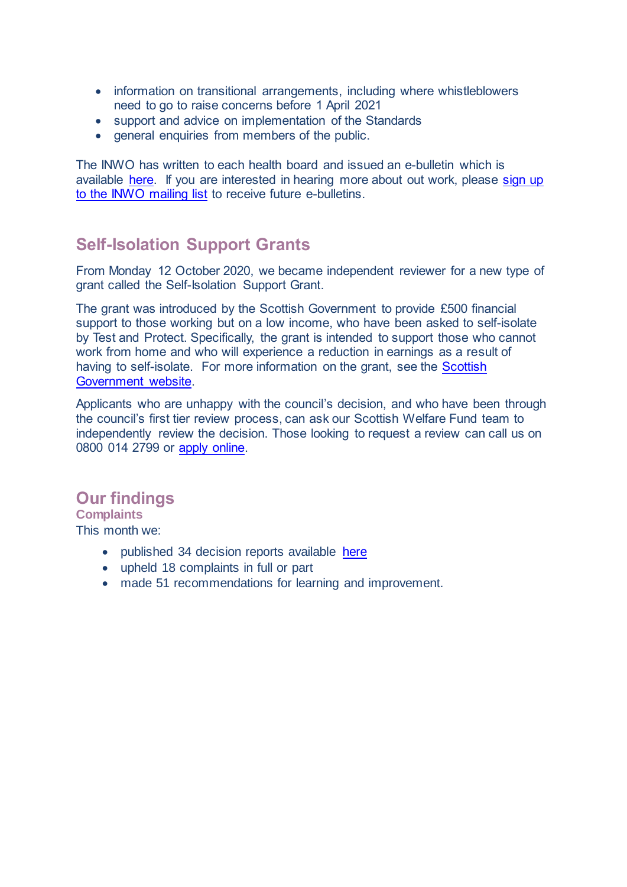- information on transitional arrangements, including where whistleblowers need to go to raise concerns before 1 April 2021
- support and advice on implementation of the Standards
- general enquiries from members of the public.

The INWO has written to each health board and issued an e-bulletin which is available [here.](https://mailchi.mp/78e35598c448/bulletin-from-the-spso-october-2020) If you are interested in hearing more about out work, please sign up [to the INWO mailing list](http://eepurl.com/hga995) to receive future e-bulletins.

## **Self-Isolation Support Grants**

From Monday 12 October 2020, we became independent reviewer for a new type of grant called the Self-Isolation Support Grant.

The grant was introduced by the Scottish Government to provide £500 financial support to those working but on a low income, who have been asked to self-isolate by Test and Protect. Specifically, the grant is intended to support those who cannot work from home and who will experience a reduction in earnings as a result of having to self-isolate. For more information on the grant, see the Scottish [Government website.](https://www.gov.scot/news/self-isolation-support-grant-now-open/)

Applicants who are unhappy with the council's decision, and who have been through the council's first tier review process, can ask our Scottish Welfare Fund team to independently review the decision. Those looking to request a review can call us on 0800 014 2799 or [apply online.](https://www.spso.org.uk/scottishwelfarefundform/form/start/) 

### **Our findings**

**Complaints**

This month we:

- published 34 decision reports available [here](https://www.spso.org.uk/our-findings)
- upheld 18 complaints in full or part
- made 51 recommendations for learning and improvement.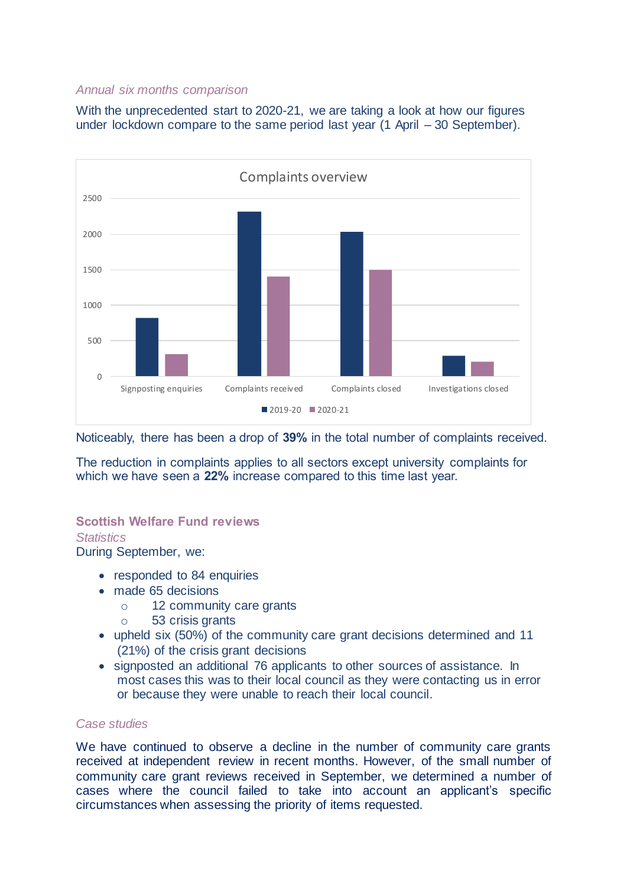#### *Annual six months comparison*

With the unprecedented start to 2020-21, we are taking a look at how our figures under lockdown compare to the same period last year (1 April – 30 September).



Noticeably, there has been a drop of **39%** in the total number of complaints received.

The reduction in complaints applies to all sectors except university complaints for which we have seen a **22%** increase compared to this time last year.

# **Scottish Welfare Fund reviews**

*Statistics*

During September, we:

- responded to 84 enquiries
- made 65 decisions
	- o 12 community care grants
	- o 53 crisis grants
- upheld six (50%) of the community care grant decisions determined and 11 (21%) of the crisis grant decisions
- signposted an additional 76 applicants to other sources of assistance. In most cases this was to their local council as they were contacting us in error or because they were unable to reach their local council.

#### *Case studies*

We have continued to observe a decline in the number of community care grants received at independent review in recent months. However, of the small number of community care grant reviews received in September, we determined a number of cases where the council failed to take into account an applicant's specific circumstances when assessing the priority of items requested.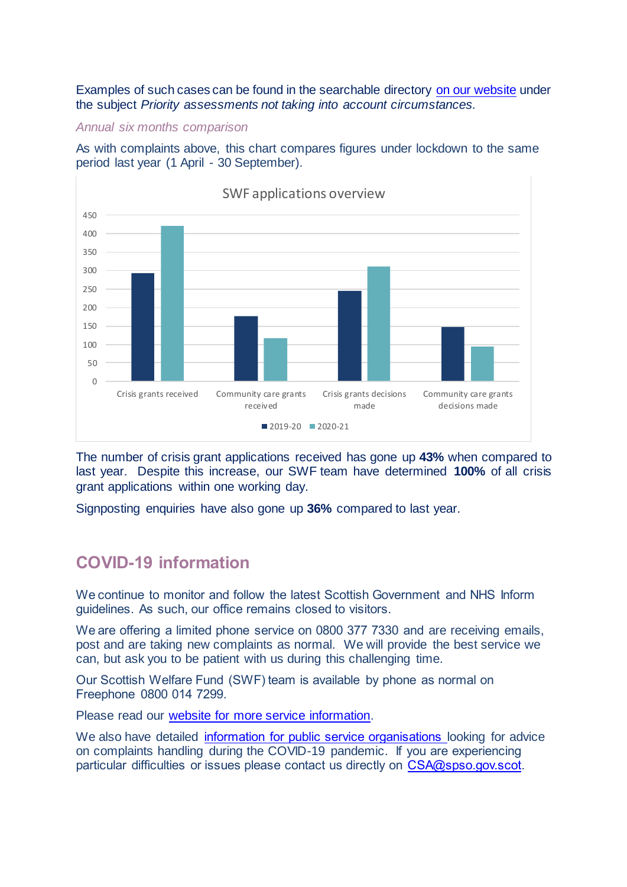Examples of such cases can be found in the searchable directory [on our website](https://www.spso.org.uk/scottishwelfarefund/case-summaries) under the subject *Priority assessments not taking into account circumstances.*

#### *Annual six months comparison*

As with complaints above, this chart compares figures under lockdown to the same period last year (1 April - 30 September).



The number of crisis grant applications received has gone up **43%** when compared to last year. Despite this increase, our SWF team have determined **100%** of all crisis grant applications within one working day.

Signposting enquiries have also gone up **36%** compared to last year.

### **COVID-19 information**

We continue to monitor and follow the latest Scottish Government and NHS Inform guidelines. As such, our office remains closed to visitors.

We are offering a limited phone service on 0800 377 7330 and are receiving emails, post and are taking new complaints as normal. We will provide the best service we can, but ask you to be patient with us during this challenging time.

Our Scottish Welfare Fund (SWF) team is available by phone as normal on Freephone 0800 014 7299.

Please read our [website for more service information.](https://www.spso.org.uk/news-and-media/covid-19-update)

We also have detailed [information for public service organisations](https://www.spso.org.uk/covid-19-update-for-public-service-organisations) looking for advice on complaints handling during the COVID-19 pandemic. If you are experiencing particular difficulties or issues please contact us directly on [CSA@spso.gov.scot.](mailto:CSA@spso.gov.scot)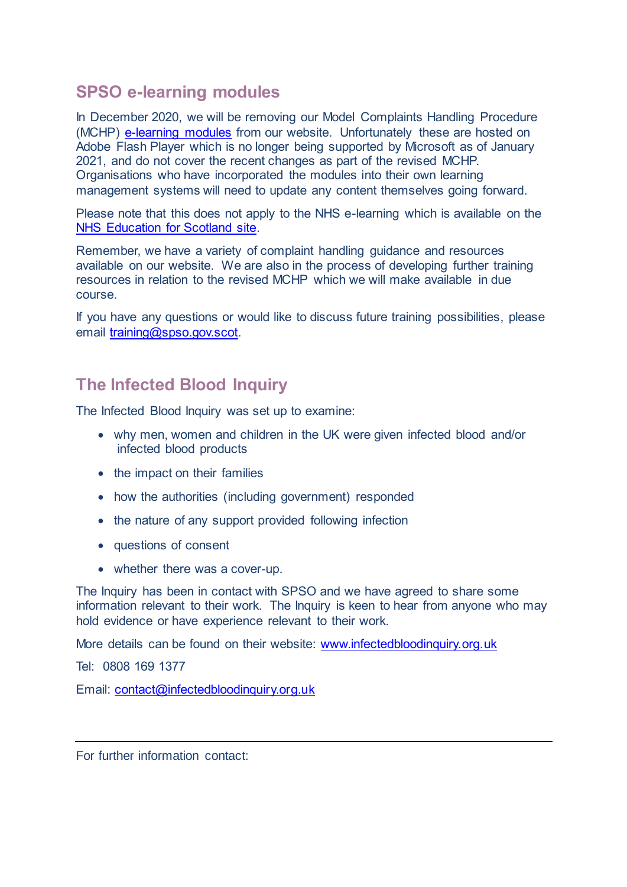## **SPSO e-learning modules**

In December 2020, we will be removing our Model Complaints Handling Procedure (MCHP) [e-learning modules](https://www.spso.org.uk/e-learning-courses) from our website. Unfortunately these are hosted on Adobe Flash Player which is no longer being supported by Microsoft as of January 2021, and do not cover the recent changes as part of the revised MCHP. Organisations who have incorporated the modules into their own learning management systems will need to update any content themselves going forward.

Please note that this does not apply to the NHS e-learning which is available on the [NHS Education for Scotland site.](http://www.knowledge.scot.nhs.uk/making-a-difference.aspx)

Remember, we have a variety of complaint handling guidance and resources available on our website. We are also in the process of developing further training resources in relation to the revised MCHP which we will make available in due course.

If you have any questions or would like to discuss future training possibilities, please email [training@spso.gov.scot.](mailto:training@spso.gov.scot) 

# **The Infected Blood Inquiry**

The Infected Blood Inquiry was set up to examine:

- why men, women and children in the UK were given infected blood and/or infected blood products
- the impact on their families
- how the authorities (including government) responded
- the nature of any support provided following infection
- questions of consent
- whether there was a cover-up.

The Inquiry has been in contact with SPSO and we have agreed to share some information relevant to their work. The Inquiry is keen to hear from anyone who may hold evidence or have experience relevant to their work.

More details can be found on their website: [www.infectedbloodinquiry.org.uk](http://www.infectedbloodinquiry.org.uk/)

Tel: 0808 169 1377

Email: [contact@infectedbloodinquiry.org.uk](mailto:contact@infectedbloodinquiry.org.uk)

For further information contact: